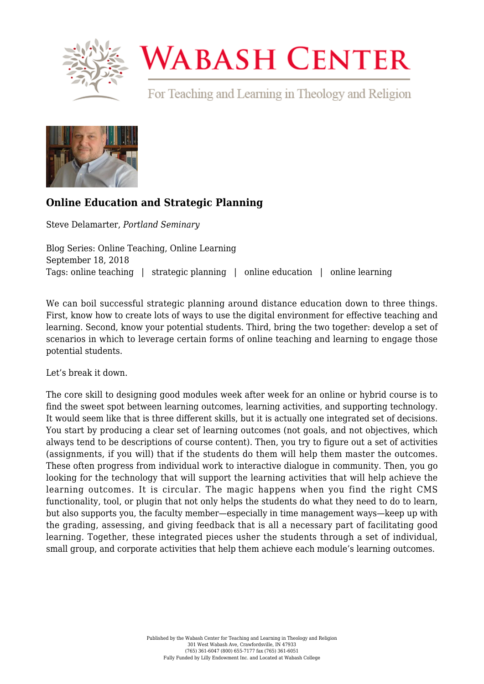

## **WABASH CENTER**

For Teaching and Learning in Theology and Religion



## **[Online Education and Strategic Planning](https://www.wabashcenter.wabash.edu/2018/09/online-education-and-strategic-planning/)**

Steve Delamarter, *Portland Seminary*

Blog Series: Online Teaching, Online Learning September 18, 2018 Tags: online teaching | strategic planning | online education | online learning

We can boil successful strategic planning around distance education down to three things. First, know how to create lots of ways to use the digital environment for effective teaching and learning. Second, know your potential students. Third, bring the two together: develop a set of scenarios in which to leverage certain forms of online teaching and learning to engage those potential students.

Let's break it down.

The core skill to designing good modules week after week for an online or hybrid course is to find the sweet spot between learning outcomes, learning activities, and supporting technology. It would seem like that is three different skills, but it is actually one integrated set of decisions. You start by producing a clear set of learning outcomes (not goals, and not objectives, which always tend to be descriptions of course content). Then, you try to figure out a set of activities (assignments, if you will) that if the students do them will help them master the outcomes. These often progress from individual work to interactive dialogue in community. Then, you go looking for the technology that will support the learning activities that will help achieve the learning outcomes. It is circular. The magic happens when you find the right CMS functionality, tool, or plugin that not only helps the students do what they need to do to learn, but also supports you, the faculty member—especially in time management ways—keep up with the grading, assessing, and giving feedback that is all a necessary part of facilitating good learning. Together, these integrated pieces usher the students through a set of individual, small group, and corporate activities that help them achieve each module's learning outcomes.